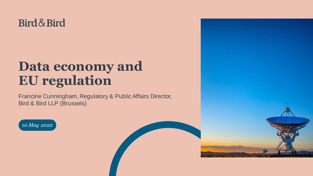### Bird & Bird

# **Data economy and EU regulation**

Francine Cunningham, Regulatory & Public Affairs Director, Bird & Bird LLP (Brussels)





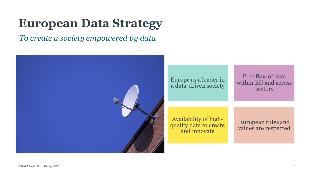# **European Data Strategy**

*To create a society empowered by data*

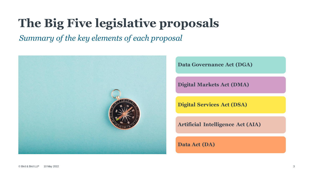# **The Big Five legislative proposals**

*Summary of the key elements of each proposal*



**Data Governance Act (DGA)**

**Digital Markets Act (DMA)**

**Digital Services Act (DSA)**

**Artificial Intelligence Act (AIA)**

**Data Act (DA)**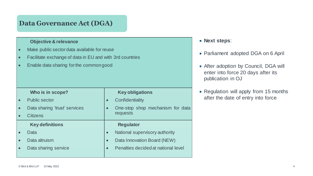### **Data Governance Act (DGA)**

#### **Objective & relevance**

- Make public sector data available for reuse
- Facilitate exchange of data in EU and with 3rd countries
- Enable data sharing forthe commongood

| Who is in scope?              |           | <b>Key obligations</b>              |
|-------------------------------|-----------|-------------------------------------|
| <b>Public sector</b>          | $\bullet$ | Confidentiality                     |
| Data sharing 'trust' services | $\bullet$ | One-stop shop mechanism for data    |
| <b>Citizens</b>               |           | requests                            |
| <b>Key definitions</b>        |           | <b>Regulator</b>                    |
| Data                          | $\bullet$ | National supervisory authority      |
| Data altruism                 | $\bullet$ | Data Innovation Board (NEW)         |
| Data sharing service          | $\bullet$ | Penalties decided at national level |
|                               |           |                                     |

- Parliament adopted DGA on 6 April
- After adoption by Council, DGA will enter into force 20 days after its publication in OJ
- Regulation will apply from 15 months after the date of entry into force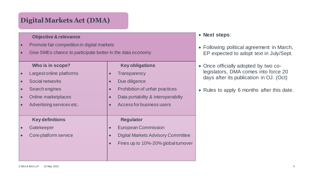### **Digital Markets Act (DMA)**

#### **Objective & relevance**

- Promote fair competition in digital markets
- Give SMEs chance to participate better in the data economy

#### **Who is in scope?**

- Largest online platforms
- Social networks
- Search engines
- Online marketplaces
- Advertising services etc.

#### **Key definitions**

- **Gatekeeper**
- Core platform service

#### **Key obligations**

- **Transparency**
- Due diligence
- Prohibition of unfair practices
- Data portability & interoperabilty
- Access for business users

#### **Regulator**

- European Commission
- Digital Markets Advisory Committee
- Fines up to 10%-20% global turnover

- Following political agreement in March, EP expected to adopt text in July/Sept.
- Once officially adopted by two colegislators, DMA comes into force 20 days after its publication in OJ. (Oct)
- Rules to apply 6 months after this date.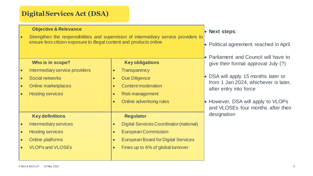### **Digital Services Act (DSA)**

#### **Objective & Relevance**

Strengthen the responsibilities and supervision of intermediary service providers to ensure less citizen exposure to illegal content and products online

#### **Who is in scope?**

Intermediary service providers

#### • Social networks

- Online marketplaces
- **Hosting services**

#### **Key definitions**

- Intermediary services
- Hosting services
- Online platforms
- VLOPs and VLOSEs

#### **Key obligations**

- **Transparency**
- Due Diligence
- Content moderation
- Risk management
- Online advertising rules

#### **Regulator**

- Digital Services Coordinator(national)
- European Commission
- European Board for Digital Services
- Fines up to 6% of global turnover

- Political agreement reached in April.
- Parliament and Council will have to give their formal approval July (?)
- DSA will apply 15 months later or from 1 Jan 2024, whichever is later, after entry into force
- However, DSA will apply to VLOPs and VLOSEs four months after their designation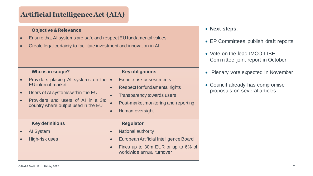### **Artificial Intelligence Act (AIA)**

#### **Objective & Relevance**

- Ensure that AI systems are safe and respect EU fundamental values
- Create legal certainty to facilitate investment and innovation in AI

| Who is in scope?<br>Providers placing AI systems on the<br><b>EU</b> internal market                           | <b>Key obligations</b><br>Ex ante risk assessments<br>$\bullet$<br>Respect for fundamental rights<br>$\bullet$         |                                                                                                                                                     |
|----------------------------------------------------------------------------------------------------------------|------------------------------------------------------------------------------------------------------------------------|-----------------------------------------------------------------------------------------------------------------------------------------------------|
| Users of AI systems within the EU<br>Providers and users of AI in a 3rd<br>country where output used in the EU | <b>Transparency towards users</b><br>Post-market monitoring and reporting<br>$\bullet$<br>Human oversight<br>$\bullet$ |                                                                                                                                                     |
| <b>Key definitions</b><br><b>Al System</b><br>High-risk uses                                                   |                                                                                                                        | <b>Regulator</b><br>National authority<br>European Artificial Intelligence Board<br>Fines up to 30m EUR or up to 6% of<br>worldwide annual turnover |

- EP Committees publish draft reports
- Vote on the lead IMCO-LIBE Committee joint report in October
- Plenary vote expected in November
- Council already has compromise proposals on several articles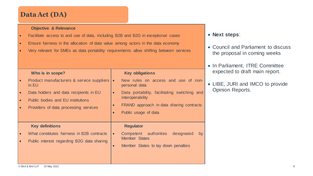### **Data Act (DA)**

#### **Objective & Relevance**

- Facilitate access to and use of data, including B2B and B2G in exceptional cases
- Ensure fairness in the allocation of data value among actors in the data economy
- Very relevant for SMEs as data portability requirements allow shifting between services

#### **Who is in scope?**

Product manufacturers & service suppliers  $\cdot$ in EU • Data holders and data recipients in EU • Public bodies and EU institutions • Providers of data processing services **Key obligations** New rules on access and use of nonpersonal data Data portability, facilitating switching and interoperability FRAND approach in data sharing contracts Public usage of data **Key definitions** • What constitutes fairness in B2B contracts • Public interest regarding B2G data sharing **Regulator** Competent authorities designated by Member States Member States to lay down penalties

- Council and Parliament to discuss the proposal in coming weeks
- In Parliament, ITRE Committee expected to draft main report.
- LIBE, JURI and IMCO to provide Opinion Reports.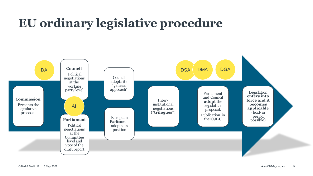# **EU ordinary legislative procedure**

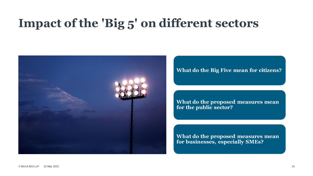# **Impact of the 'Big 5' on different sectors**



#### **What do the Big Five mean for citizens?**

**What do the proposed measures mean for the public sector?**

**What do the proposed measures mean for businesses, especially SMEs?**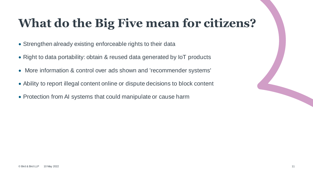# **What do the Big Five mean for citizens?**

- Strengthen already existing enforceable rights to their data
- Right to data portability: obtain & reused data generated by IoT products
- More information & control over ads shown and 'recommender systems'
- Ability to report illegal content online or dispute decisions to block content
- Protection from AI systems that could manipulate or cause harm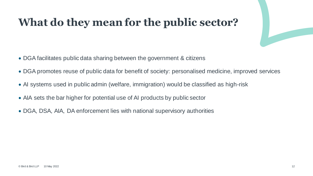### **What do they mean for the public sector?**

- DGA facilitates public data sharing between the government & citizens
- DGA promotes reuse of public data for benefit of society: personalised medicine, improved services
- AI systems used in public admin (welfare, immigration) would be classified as high-risk
- AIA sets the bar higher for potential use of AI products by public sector
- DGA, DSA, AIA, DA enforcement lies with national supervisory authorities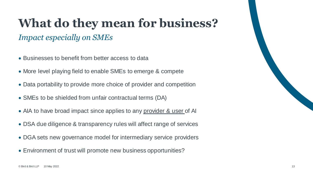# **What do they mean for business?**

### *Impact especially on SMEs*

- Businesses to benefit from better access to data
- More level playing field to enable SMEs to emerge & compete
- Data portability to provide more choice of provider and competition
- SMEs to be shielded from unfair contractual terms (DA)
- AIA to have broad impact since applies to any provider & user of AI
- DSA due diligence & transparency rules will affect range of services
- DGA sets new governance model for intermediary service providers
- Environment of trust will promote new business opportunities?

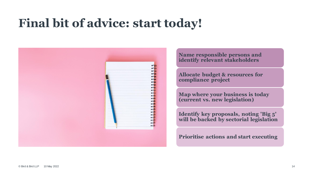# **Final bit of advice: start today!**



**Name responsible persons and identify relevant stakeholders**

**Allocate budget & resources for compliance project**

**Map where your business is today (current vs. new legislation)**

**Identify key proposals, noting 'Big 5' will be backed by sectorial legislation**

**Prioritise actions and start executing**